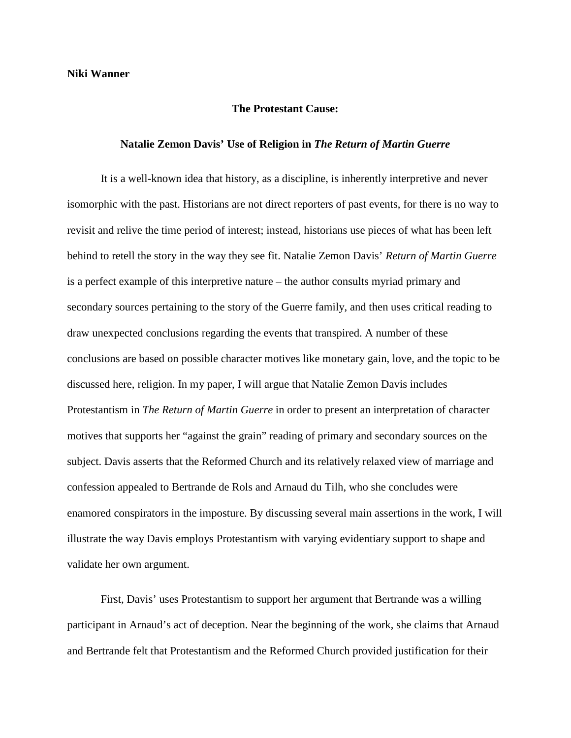## **The Protestant Cause:**

## **Natalie Zemon Davis' Use of Religion in** *The Return of Martin Guerre*

It is a well-known idea that history, as a discipline, is inherently interpretive and never isomorphic with the past. Historians are not direct reporters of past events, for there is no way to revisit and relive the time period of interest; instead, historians use pieces of what has been left behind to retell the story in the way they see fit. Natalie Zemon Davis' *Return of Martin Guerre*  is a perfect example of this interpretive nature – the author consults myriad primary and secondary sources pertaining to the story of the Guerre family, and then uses critical reading to draw unexpected conclusions regarding the events that transpired. A number of these conclusions are based on possible character motives like monetary gain, love, and the topic to be discussed here, religion. In my paper, I will argue that Natalie Zemon Davis includes Protestantism in *The Return of Martin Guerre* in order to present an interpretation of character motives that supports her "against the grain" reading of primary and secondary sources on the subject. Davis asserts that the Reformed Church and its relatively relaxed view of marriage and confession appealed to Bertrande de Rols and Arnaud du Tilh, who she concludes were enamored conspirators in the imposture. By discussing several main assertions in the work, I will illustrate the way Davis employs Protestantism with varying evidentiary support to shape and validate her own argument.

First, Davis' uses Protestantism to support her argument that Bertrande was a willing participant in Arnaud's act of deception. Near the beginning of the work, she claims that Arnaud and Bertrande felt that Protestantism and the Reformed Church provided justification for their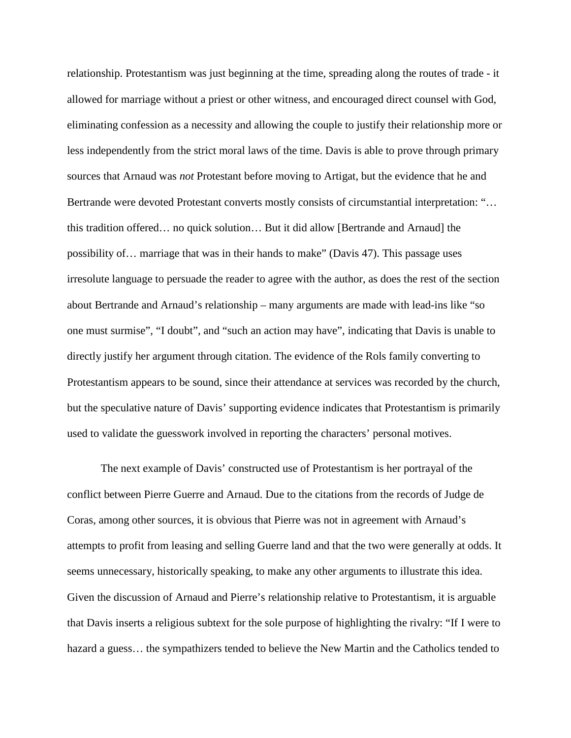relationship. Protestantism was just beginning at the time, spreading along the routes of trade - it allowed for marriage without a priest or other witness, and encouraged direct counsel with God, eliminating confession as a necessity and allowing the couple to justify their relationship more or less independently from the strict moral laws of the time. Davis is able to prove through primary sources that Arnaud was *not* Protestant before moving to Artigat, but the evidence that he and Bertrande were devoted Protestant converts mostly consists of circumstantial interpretation: "... this tradition offered… no quick solution… But it did allow [Bertrande and Arnaud] the possibility of… marriage that was in their hands to make" (Davis 47). This passage uses irresolute language to persuade the reader to agree with the author, as does the rest of the section about Bertrande and Arnaud's relationship – many arguments are made with lead-ins like "so one must surmise", "I doubt", and "such an action may have", indicating that Davis is unable to directly justify her argument through citation. The evidence of the Rols family converting to Protestantism appears to be sound, since their attendance at services was recorded by the church, but the speculative nature of Davis' supporting evidence indicates that Protestantism is primarily used to validate the guesswork involved in reporting the characters' personal motives.

The next example of Davis' constructed use of Protestantism is her portrayal of the conflict between Pierre Guerre and Arnaud. Due to the citations from the records of Judge de Coras, among other sources, it is obvious that Pierre was not in agreement with Arnaud's attempts to profit from leasing and selling Guerre land and that the two were generally at odds. It seems unnecessary, historically speaking, to make any other arguments to illustrate this idea. Given the discussion of Arnaud and Pierre's relationship relative to Protestantism, it is arguable that Davis inserts a religious subtext for the sole purpose of highlighting the rivalry: "If I were to hazard a guess... the sympathizers tended to believe the New Martin and the Catholics tended to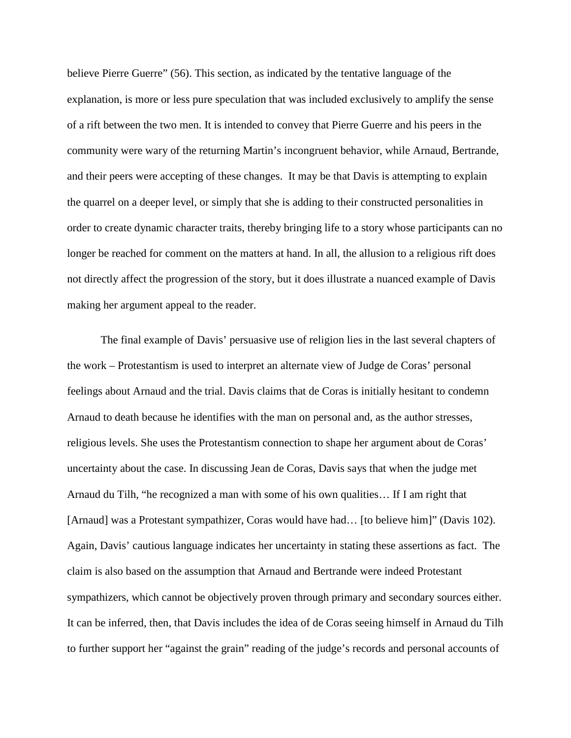believe Pierre Guerre" (56). This section, as indicated by the tentative language of the explanation, is more or less pure speculation that was included exclusively to amplify the sense of a rift between the two men. It is intended to convey that Pierre Guerre and his peers in the community were wary of the returning Martin's incongruent behavior, while Arnaud, Bertrande, and their peers were accepting of these changes. It may be that Davis is attempting to explain the quarrel on a deeper level, or simply that she is adding to their constructed personalities in order to create dynamic character traits, thereby bringing life to a story whose participants can no longer be reached for comment on the matters at hand. In all, the allusion to a religious rift does not directly affect the progression of the story, but it does illustrate a nuanced example of Davis making her argument appeal to the reader.

The final example of Davis' persuasive use of religion lies in the last several chapters of the work – Protestantism is used to interpret an alternate view of Judge de Coras' personal feelings about Arnaud and the trial. Davis claims that de Coras is initially hesitant to condemn Arnaud to death because he identifies with the man on personal and, as the author stresses, religious levels. She uses the Protestantism connection to shape her argument about de Coras' uncertainty about the case. In discussing Jean de Coras, Davis says that when the judge met Arnaud du Tilh, "he recognized a man with some of his own qualities… If I am right that [Arnaud] was a Protestant sympathizer, Coras would have had... [to believe him]" (Davis 102). Again, Davis' cautious language indicates her uncertainty in stating these assertions as fact. The claim is also based on the assumption that Arnaud and Bertrande were indeed Protestant sympathizers, which cannot be objectively proven through primary and secondary sources either. It can be inferred, then, that Davis includes the idea of de Coras seeing himself in Arnaud du Tilh to further support her "against the grain" reading of the judge's records and personal accounts of